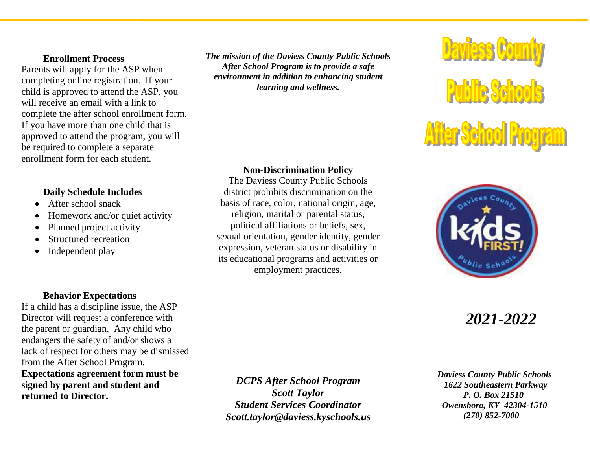#### **Enrollment Process**

Parents will apply for the ASP when completing online registration. If your child is approved to attend the ASP, you will receive an email with a link to complete the after school enrollment form. If you have more than one child that is approved to attend the program, you will be required to complete a separate enrollment form for each student.

### **Daily Schedule Includes**

- After school snack
- Homework and/or quiet activity
- Planned project activity
- Structured recreation
- Independent play

*The mission of the Daviess County Public Schools After School Program is to provide a safe environment in addition to enhancing student learning and wellness.*

### **Non-Discrimination Policy**

The Daviess County Public Schools district prohibits discrimination on the basis of race, color, national origin, age, religion, marital or parental status, political affiliations or beliefs, sex, sexual orientation, gender identity, gender expression, veteran status or disability in its educational programs and activities or employment practices.





# *2021-2022*

 *Daviess County Public Schools 1622 Southeastern Parkway P. O. Box 21510 Owensboro, KY 42304-1510 (270) 852-7000*

### **Behavior Expectations**

If a child has a discipline issue, the ASP Director will request a conference with the parent or guardian. Any child who endangers the safety of and/or shows a lack of respect for others may be dismissed from the After School Program. **Expectations agreement form must be** 

**signed by parent and student and returned to Director.**

*DCPS After School Program Scott Taylor Student Services Coordinator Scott.taylor@daviess.kyschools.us*